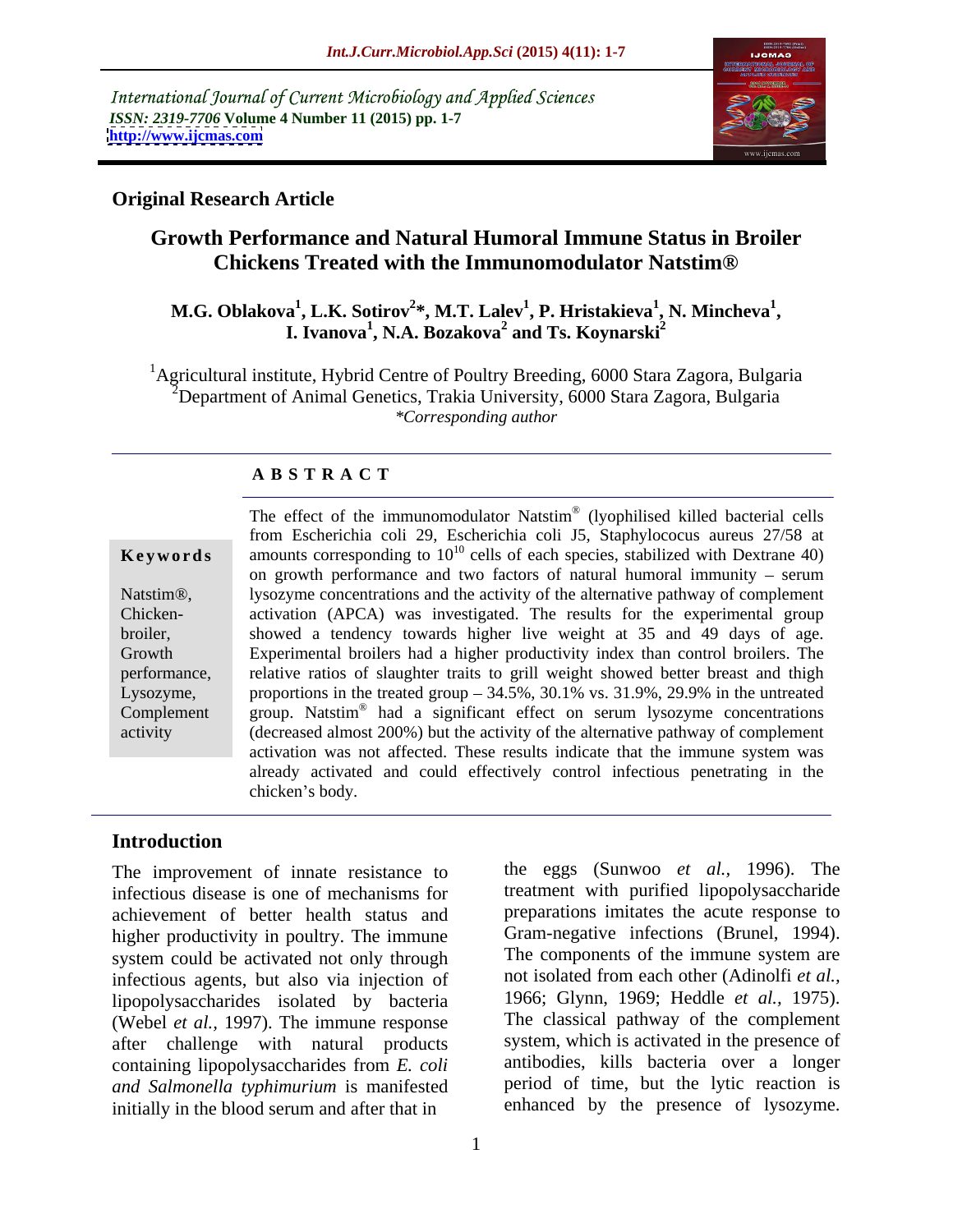International Journal of Current Microbiology and Applied Sciences *ISSN: 2319-7706* **Volume 4 Number 11 (2015) pp. 1-7 <http://www.ijcmas.com>**



## **Original Research Article**

# **Growth Performance and Natural Humoral Immune Status in Broiler Chickens Treated with the Immunomodulator Natstim®**

### M.G. Oblakova<sup>1</sup>, L.K. Sotirov<sup>2</sup>\*, M.T. Lalev<sup>1</sup>, P. Hristakieva<sup>1</sup>, N. Mincheva<sup>1</sup>,<br>I. Ivanova<sup>1</sup>, N.A. Bozakova<sup>2</sup> and Ts. Koynarski<sup>2</sup> **, N. Mincheva<sup>1</sup> I. Ivanova<sup>1</sup>, N.A. Bozakova<sup>2</sup> and Ts. Koynarski<sup>2</sup> and Ts. Koynarski<sup>2</sup>**

<sup>1</sup>Agricultural institute, Hybrid Centre of Poultry Breeding, 6000 Stara Zagora, Bulgaria <sup>2</sup>Department of Animal Genetics, Trakia University, 6000 Stara Zagora, Bulgaria *\*Corresponding author*

## **A B S T R A C T**

activity

The effect of the immunomodulator Natstim ® (lyophilised killed bacterial cells from Escherichia coli 29, Escherichia coli J5, Staphylococus aureus 27/58 at amounts corresponding to  $10^{10}$  cells of each species, stabilized with Dextrane 40) on growth performance and two factors of natural humoral immunity  $-$  serum Natstim®, Subsortune concentrations and the activity of the alternative pathway of complement Chicken-<br>
activation (APCA) was investigated. The results for the experimental group broiler, showed a tendency towards higher live weight at 35 and 49 days of age. Experimental broilers had a higher productivity index than control broilers. The Growth performance, relative ratios of slaughter traits to grill weight showed better breast and thigh Lysozyme, proportions in the treated group  $-34.5\%$ ,  $30.1\%$  vs.  $31.9\%$ ,  $29.9\%$  in the untreated Complement group. Natstim<sup>®</sup> had a significant effect on serum lysozyme concentrations (decreased almost 200%) but the activity of the alternative pathway of complement activation was not affected. These results indicate that the immune system was already activated and could effectively control infectious penetrating in the **Keywords**<br>
mounts corresponding to  $10^{10}$  cells of each species, stabilized with Dextrane 40)<br>
on growth performance and two factors of natural humoral immunity – serum<br>
lysozyme concentrations and the activity of the

### **Introduction**

The improvement of innate resistance to infectious disease is one of mechanisms for achievement of better health status and higher productivity in poultry. The immune system could be activated not only through infectious agents, but also via injection of lipopolysaccharides isolated by bacteria (Webel *et al.,* 1997). The immune response after challenge with natural products containing lipopolysaccharides from *E. coli and Salmonella typhimurium* is manifested initially in the blood serum and after that in

Gram-negative infections (Brunel, 1994). The components of the immune system are not isolated from each other (Adinolfi *et al.,* 1966; Glynn, 1969; Heddle *et al.,* 1975). The classical pathway of the complement system, which is activated in the presence of antibodies, kills bacteria over a longer period of time, but the lytic reaction is enhanced by the presence of lysozyme.

the eggs (Sunwoo *et al.,* 1996). The treatment with purified lipopolysaccharide preparations imitates the acute response to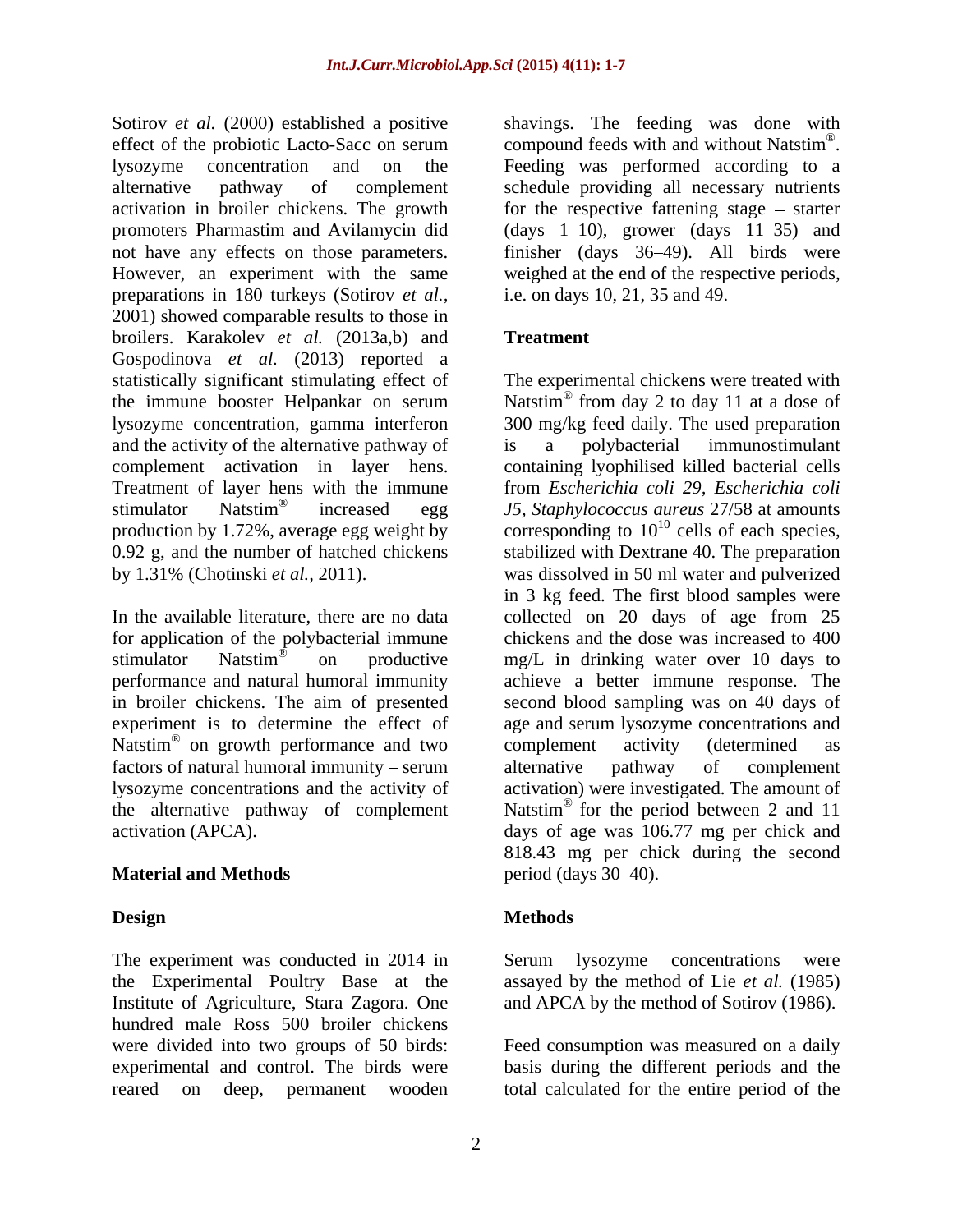Sotirov *et al.* (2000) established a positive shavings. The feeding was done with effect of the probiotic Lacto-Sacc on serum lysozyme concentration and on the Feeding was performed according to a alternative pathway of complement schedule providing all necessary nutrients activation in broiler chickens. The growth for the respective fattening stage – starter promoters Pharmastim and Avilamycin did (days 1–10), grower (days 11–35) and not have any effects on those parameters. finisher (days 36 49). All birds were However, an experiment with the same weighed at the end of the respective periods, preparations in 180 turkeys (Sotirov *et al.,* 2001) showed comparable results to those in broilers. Karakolev *et al.* (2013a,b) and Gospodinova *et al.* (2013) reported a and the activity of the alternative pathway of is a polybacterial immunostimulant

factors of natural humoral immunity – serum alternative pathway of complement the alternative pathway of complement

# **Material and Methods below below below to the methods below period** (days 30–40).

The experiment was conducted in 2014 in Serum lysozyme concentrations were the Experimental Poultry Base at the Institute of Agriculture, Stara Zagora. One and APCA by the method of Sotirov (1986). hundred male Ross 500 broiler chickens were divided into two groups of 50 birds: Feed consumption was measured on a daily experimental and control. The birds were

compound feeds with and without Natstim<sup>®</sup>. ® compound feeds with and without Natstim<sup>®</sup>.<br>Feeding was performed according to a i.e. on days 10, 21, 35 and 49.

# **Treatment**

statistically significant stimulating effect of The experimental chickens were treated with the immune booster Helpankar on serum Natstim<sup>®</sup> from day 2 to day 11 at a dose of lysozyme concentration, gamma interferon 300 mg/kg feed daily. The used preparation complement activation in layer hens. containing lyophilised killed bacterial cells Treatment of layer hens with the immune from *Escherichia coli 29, Escherichia coli* stimulator Natstim ® increased egg *J5, Staphylococcus aureus* 27/58 at amounts production by 1.72%, average egg weight by corresponding to  $10^{10}$  cells of each species, 0.92 g, and the number of hatched chickens stabilized with Dextrane 40. The preparation by 1.31% (Chotinski *et al.,* 2011). was dissolved in 50 ml water and pulverized In the available literature, there are no data collected on 20 days of age from 25 for application of the polybacterial immune chickens and the dose was increased to 400 stimulator Natstim<sup>®</sup> on productive mg/L in drinking water over 10 days to performance and natural humoral immunity achieve a better immune response. The in broiler chickens. The aim of presented second blood sampling was on 40 days of experiment is to determine the effect of age and serum lysozyme concentrations and Natstim<sup>®</sup> on growth performance and two complement activity (determined as lysozyme concentrations and the activity of activation) were investigated. The amount of activation (APCA). days of age was 106.77 mg per chick and from day 2 to day 11 at a dose of is a polybacterial immunostimulant cells of each species, in 3 kg feed. The first blood samples were complement activity (determined as alternative pathway of complement Natstim<sup>®</sup> for the period between 2 and 11 818.43 mg per chick during the second  $period$  (days  $30-40$ ).

### **Design Methods**

Serum lysozyme concentrations were assayed by the method of Lie *et al.* (1985)

reared on deep, permanent wooden total calculated for the entire period of thebasis during the different periods and the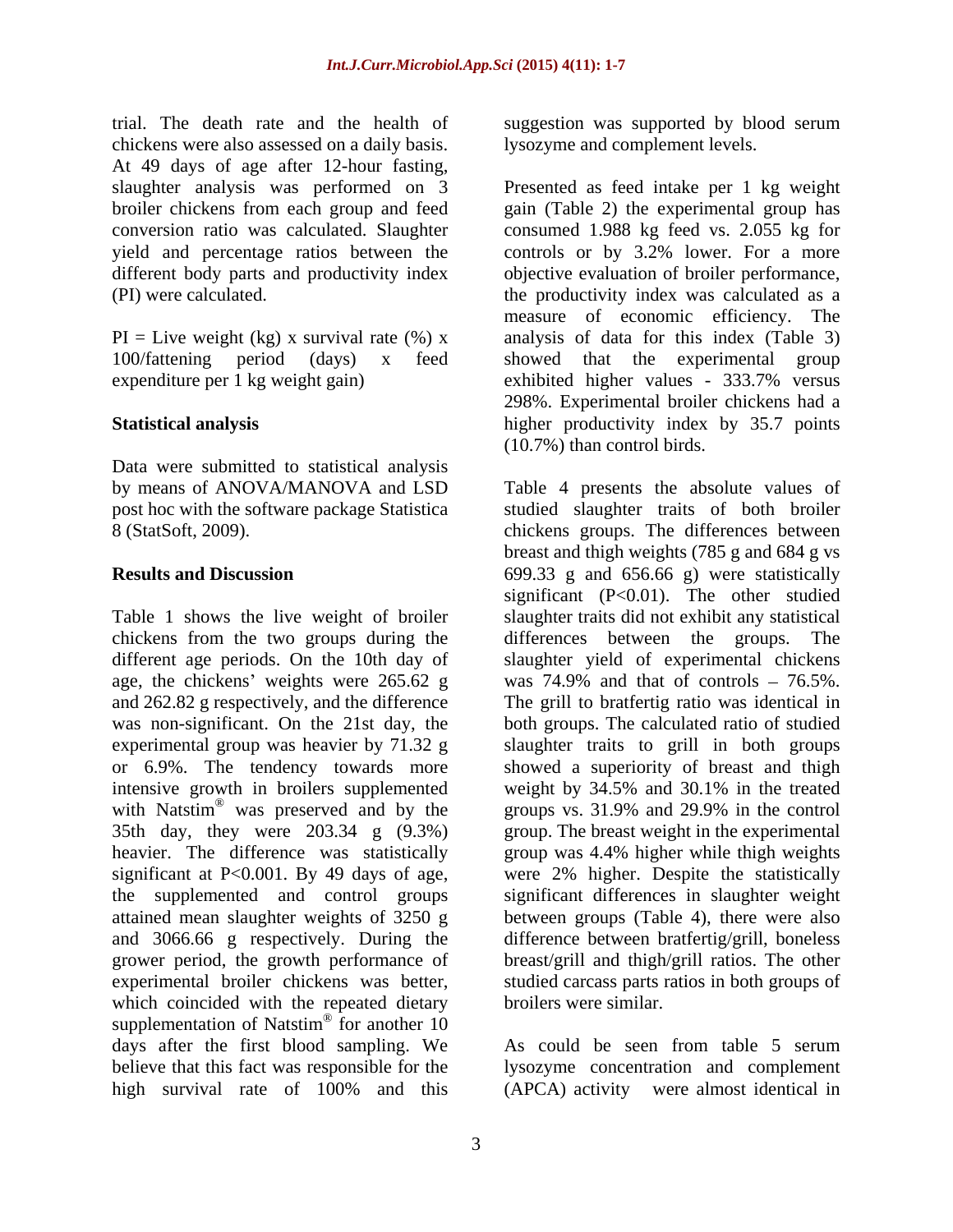trial. The death rate and the health of suggestion was supported by blood serum chickens were also assessed on a daily basis. At 49 days of age after 12-hour fasting,

expenditure per 1 kg weight gain) exhibited higher values - 333.7% versus

Data were submitted to statistical analysis

chickens from the two groups during the differences between the groups. The age, the chickens' weights were  $265.62$  g the supplemented and control groups which coincided with the repeated dietary supplementation of Natstim<sup>®</sup> for another 10  $\circledcirc$  for enother 10 for another 10 days after the first blood sampling. We As could be seen from table 5 serum believe that this fact was responsible for the lysozyme concentration and complement high survival rate of 100% and this (APCA) activity were almost identical in

lysozyme and complement levels.

slaughter analysis was performed on 3 Presented as feed intake per 1 kg weight broiler chickens from each group and feed gain (Table 2) the experimental group has conversion ratio was calculated. Slaughter consumed 1.988 kg feed vs. 2.055 kg for yield and percentage ratios between the controls or by 3.2% lower. For a more different body parts and productivity index objective evaluation of broiler performance, (PI) were calculated. the productivity index was calculated as a  $PI = Live weight (kg) x survival rate (%) x$  analysis of data for this index (Table 3) 100/fattening period (days) x feed showed that the experimental group **Statistical analysis** higher productivity index by 35.7 points measure of economic efficiency. The exhibited higher values - 333.7% versus 298%. Experimental broiler chickens had a (10.7%) than control birds.

by means of ANOVA/MANOVA and LSD Table 4 presents the absolute values of post hoc with the software package Statistica studied slaughter traits of both broiler 8 (StatSoft, 2009). chickens groups. The differences between **Results and Discussion** 699.33 g and 656.66 g) were statistically Table 1 shows the live weight of broiler slaughter traits did not exhibit any statistical different age periods. On the 10th day of slaughter yield of experimental chickens and 262.82 g respectively, and the difference The grill to bratfertig ratio was identical in was non-significant. On the 21st day, the both groups. The calculated ratio of studied experimental group was heavier by 71.32 g slaughter traits to grill in both groups or 6.9%. The tendency towards more showed a superiority of breast and thigh intensive growth in broilers supplemented weight by 34.5% and 30.1% in the treated with Natstim<sup>®</sup> was preserved and by the groups vs. 31.9% and 29.9% in the control 35th day, they were 203.34 g (9.3%) group. The breast weight in the experimental heavier. The difference was statistically group was 4.4% higher while thigh weights significant at P<0.001. By 49 days of age, were 2% higher. Despite the statistically attained mean slaughter weights of 3250 g between groups (Table 4), there were also and 3066.66 g respectively. During the difference between bratfertig/grill, boneless grower period, the growth performance of breast/grill and thigh/grill ratios. The other experimental broiler chickens was better, studied carcass parts ratios in both groups of breast and thigh weights (785 g and 684 g vs significant (P<0.01). The other studied differences between the groups. was  $74.9\%$  and that of controls  $-76.5\%$ . significant differences in slaughter weight broilers were similar.

> As could be seen from table 5 serum (APCA) activity were almost identical in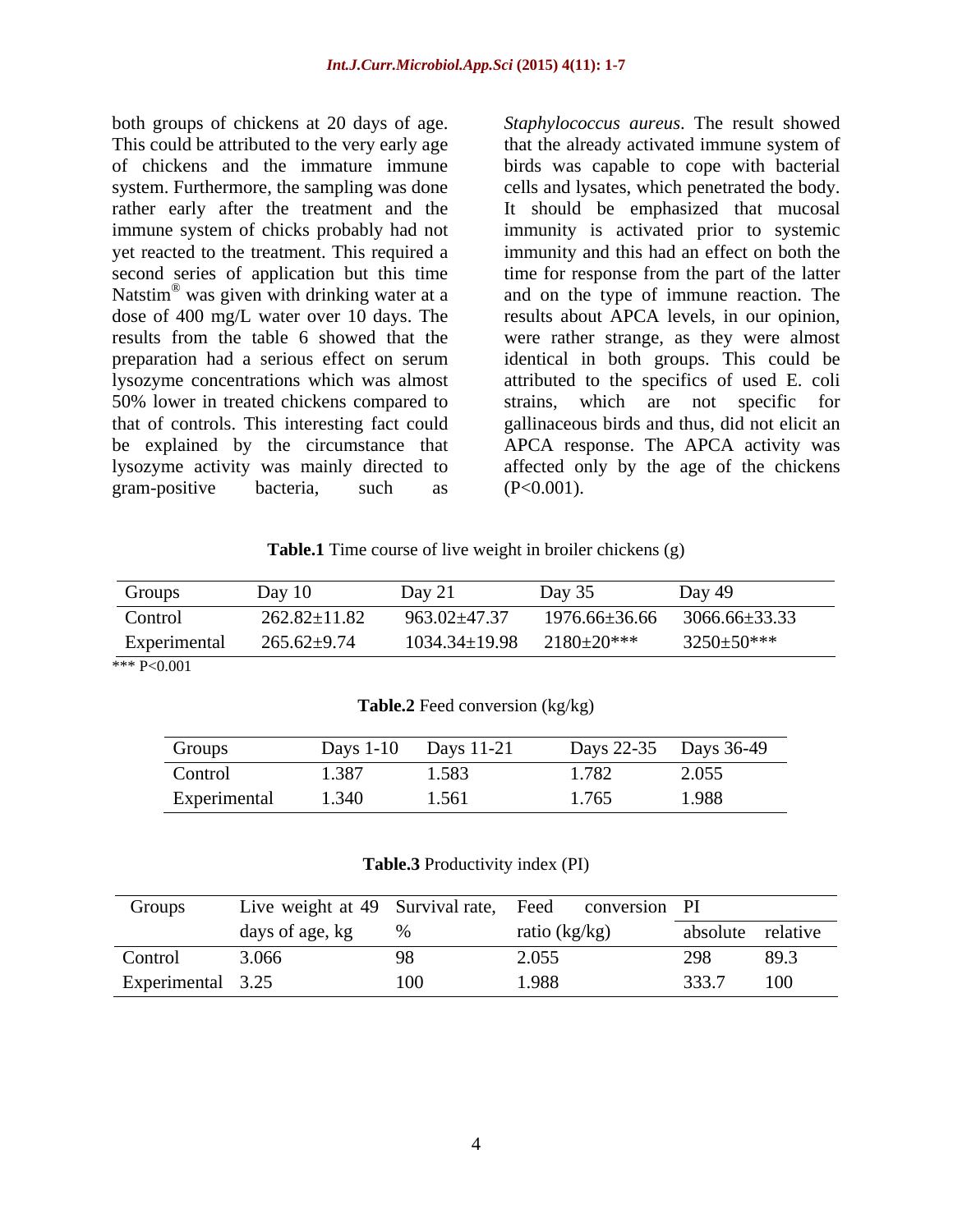both groups of chickens at 20 days of age. *Staphylococcus aureus*. The result showed This could be attributed to the very early age that the already activated immune system of of chickens and the immature immune birds was capable to cope with bacterial system. Furthermore, the sampling was done cells and lysates, which penetrated the body. rather early after the treatment and the immune system of chicks probably had not immunity is activated prior to systemic yet reacted to the treatment. This required a immunity and this had an effect on both the second series of application but this time time for response from the part of the latter Natstim<sup>®</sup> was given with drinking water at a<br>dose of 400 mg/L water over 10 days. The dose of 400 mg/L water over 10 days. The results about APCA levels, in our opinion, results from the table 6 showed that the were rather strange, as they were almost preparation had a serious effect on serum identical in both groups. This could be lysozyme concentrations which was almost attributed to the specifics of used E. coli 50% lower in treated chickens compared to strains, which are not specific for that of controls. This interesting fact could gallinaceous birds and thus, did not elicit an be explained by the circumstance that APCA response. The APCA activity was lysozyme activity was mainly directed to affected only by the age of the chickens gram-positive bacteria, such as  $(P<0.001)$ .

was given with drinking water at a and on the type of immune reaction. The It should be emphasized that mucosal strains, which are not specific for (P<0.001).

**Table.1** Time course of live weight in broiler chickens (g)

| 963.02±47.37<br>$262.82 \pm 11.82$<br>3066.66±33.33<br>1976.66±36.66<br>Control                   |
|---------------------------------------------------------------------------------------------------|
| $265.62 \pm 9.74$<br>$3250 \pm 50$ ***<br>$2180 \pm 20***$<br>$1034.34 \pm 19.98$<br>Experimental |

**Table.2** Feed conversion (kg/kg)

| Groups       | $\sim$ 4.6%<br>Days 1- | Days $11-2$ . | Days 22-35                          | Days 36-49 |
|--------------|------------------------|---------------|-------------------------------------|------------|
| Control      | 1.387                  | 1.583         | $\Gamma$<br>$\overline{1}$<br>1.702 | 2.055      |
| Experimental | .340                   | 1.561         | 1765<br>1.70J                       | 1.988      |

### **Table.3** Productivity index (PI)

| Group:            |                 | Live weight at 49 Survival rate, Feed conversion PI |                |
|-------------------|-----------------|-----------------------------------------------------|----------------|
|                   | days of age, kg | (kg/kg)                                             | plute relative |
| Control           | 3.066           | 2.055                                               | 89.3           |
| Experimental 3.25 |                 | 1.988                                               | 100            |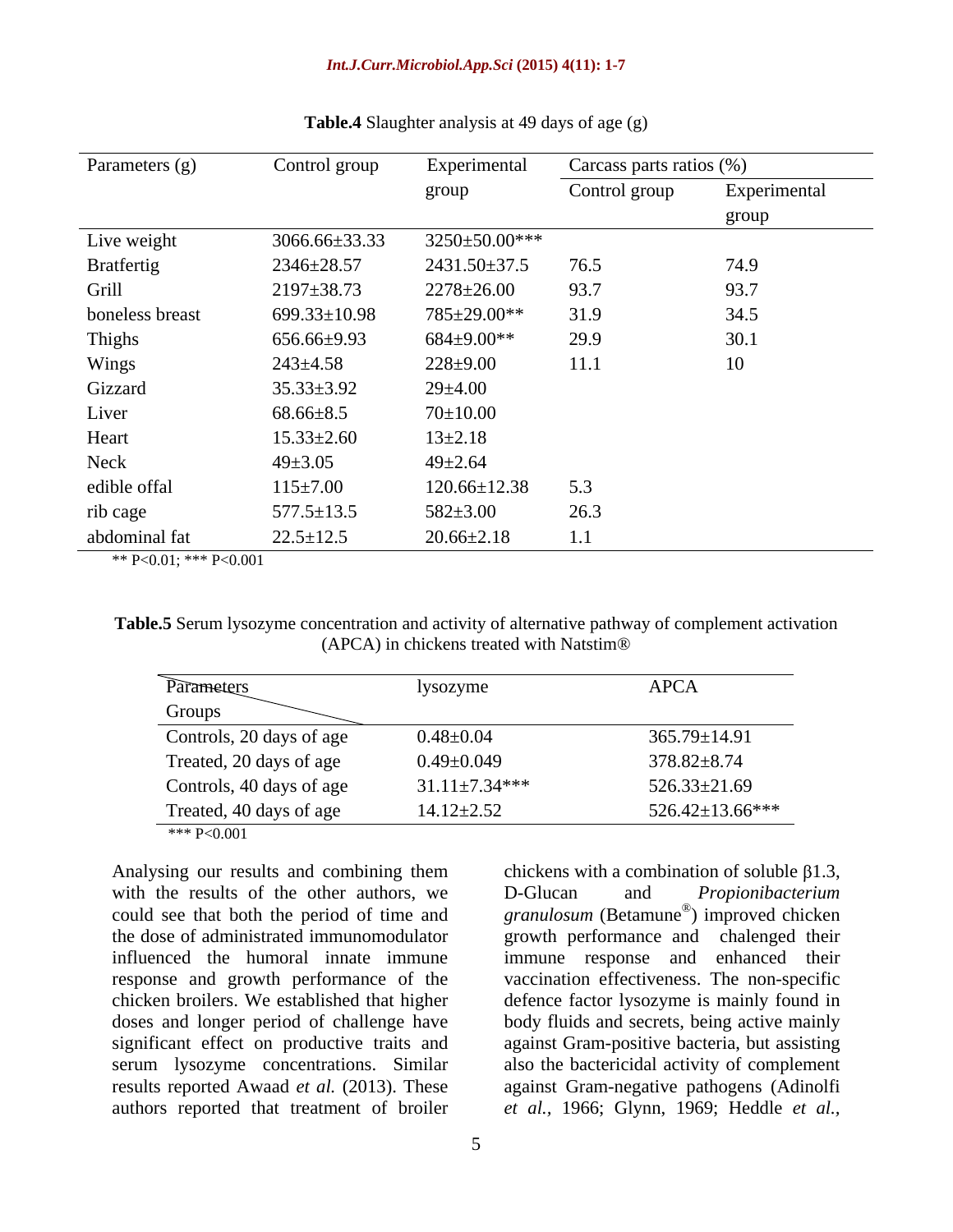### *Int.J.Curr.Microbiol.App.Sci* **(2015) 4(11): 1-7**

| Parameters (g)  | Control group    | Experimental        | Carcass parts ratios (%) |              |
|-----------------|------------------|---------------------|--------------------------|--------------|
|                 |                  | group               | Control group            | Experimental |
|                 |                  |                     |                          | group        |
| Live weight     | 3066.66±33.33    | 3250±50.00***       |                          |              |
| Bratfertig      | 2346±28.57       | 2431.50±37.5        | 76.5                     | 74.9         |
| Grill           | $2197 \pm 38.73$ | $2278 \pm 26.00$    | 93.7                     | 93.7         |
| boneless breast | 699.33±10.98     | 785±29.00**         | 31.9                     | 34.5         |
| Thighs          | 656.66±9.93      | $684{\pm}9.00^{**}$ | 29.9                     | 30.1         |
| Wings           | $243 \pm 4.58$   | $228 \pm 9.00$      | 11.1                     | 10           |
| Gizzard         | $35.33 \pm 3.92$ | $29 \pm 4.00$       |                          |              |
| Liver           | $68.66 \pm 8.5$  | $70 \pm 10.00$      |                          |              |
| Heart           | $15.33 \pm 2.60$ | $13 \pm 2.18$       |                          |              |
| Neck            | $49 \pm 3.05$    | $49 \pm 2.64$       |                          |              |
| edible offal    | $115 \pm 7.00$   | $120.66 \pm 12.38$  | 5.3                      |              |
| rib cage        | $577.5 \pm 13.5$ | $582 \pm 3.00$      | 26.3                     |              |
| abdominal fat   | $22.5 \pm 12.5$  | $20.66 \pm 2.18$    | 1.1                      |              |

### **Table.4** Slaughter analysis at 49 days of age (g)

\*\* P<0.01; \*\*\* P<0.001

**Table.5** Serum lysozyme concentration and activity of alternative pathway of complement activation (APCA) in chickens treated with Natstim®

| Parameters               | lysozyme             | APCA                        |
|--------------------------|----------------------|-----------------------------|
| Groups                   |                      |                             |
| Controls, 20 days of age | $0.48 \pm 0.04$      |                             |
| Treated, 20 days of age  | $0.49 \pm 0.049$     | 365.79±14.91<br>378.82±8.74 |
| Controls, 40 days of age | $31.11 \pm 7.34$ *** | 526.33±21.69                |
| Treated, 40 days of age  | $14.12 \pm 2.52$     | $526.42 \pm 13.66$ ***      |
| *** P<0.001              |                      |                             |

Analysing our results and combining them chickens with a combination of soluble  $\beta1.3$ , with the results of the other authors, we D-Glucan and *Propionibacterium* could see that both the period of time and granulosum (Betamune<sup>®</sup>) improved chicken the dose of administrated immunomodulator growth performance and chalenged their influenced the humoral innate immune immune response and enhanced their response and growth performance of the vaccination effectiveness. The non-specific chicken broilers. We established that higher defence factor lysozyme is mainly found in doses and longer period of challenge have body fluids and secrets, being active mainly significant effect on productive traits and against Gram-positive bacteria, but assisting serum lysozyme concentrations. Similar also the bactericidal activity of complement results reported Awaad *et al.* (2013). These against Gram-negative pathogens (Adinolfi authors reported that treatment of broiler *etal.,* 1966; Glynn, 1969; Heddle *et al.,*

D-Glucan and *Propionibacterium* ) improved chicken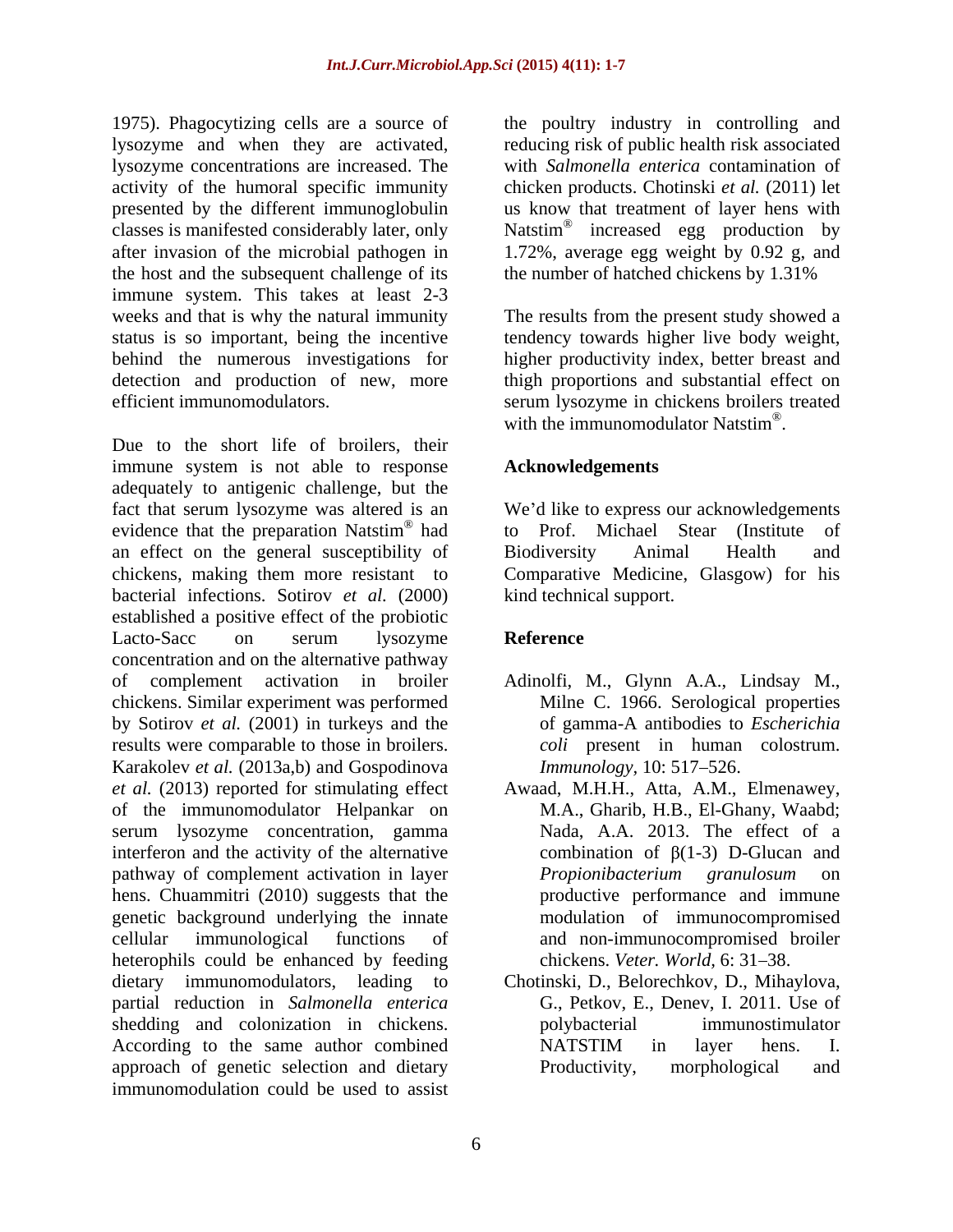1975). Phagocytizing cells are a source of the poultry industry in controlling and lysozyme and when they are activated, reducing risk of public health risk associated lysozyme concentrations are increased. The activity of the humoral specific immunity chicken products. Chotinski *et al.* (2011) let presented by the different immunoglobulin us know that treatment of layer hens with classes is manifested considerably later, only Natstim<sup>®</sup> after invasion of the microbial pathogen in 1.72%, average egg weight by 0.92 g, and the host and the subsequent challenge of its the number of hatched chickens by 1.31% immune system. This takes at least 2-3 weeks and that is why the natural immunity The results from the present study showed a status is so important, being the incentive tendency towards higher live body weight, behind the numerous investigations for detection and production of new, more thigh proportions and substantial effect on efficient immunomodulators. serum lysozyme in chickens broilers treated

Due to the short life of broilers, their immune system is not able to response adequately to antigenic challenge, but the fact that serum lysozyme was altered is an We'd like to express our acknowledgements evidence that the preparation Natstim<sup>®</sup> had to Prof. an effect on the general susceptibility of Biodiversity Animal Health and chickens, making them more resistant to Comparative Medicine, Glasgow) for his bacterial infections. Sotirov *et al.* (2000) established a positive effect of the probiotic Lacto-Sacc on serum lysozyme **Reference** concentration and on the alternative pathway of complement activation in broiler Adinolfi, M., Glynn A.A., Lindsay M., chickens. Similar experiment was performed by Sotirov *et al.* (2001) in turkeys and the results were comparable to those in broilers. Karakolev *et al.* (2013a,b) and Gospodinova<br>*et al.* (2013) reported for stimulating effect *et al.* (2013) reported for stimulating effect Awaad, M.H.H., Atta, A.M., Elmenawey, of the immunomodulator Helpankar on serum lysozyme concentration, gamma interferon and the activity of the alternative pathway of complement activation in layer hens. Chuammitri (2010) suggests that the genetic background underlying the innate cellular immunological functions of and non-immunocompromised broiler heterophils could be enhanced by feeding dietary immunomodulators, leading to Chotinski, D., Belorechkov, D., Mihaylova, partial reduction in *Salmonella enterica* shedding and colonization in chickens. The polybacterial immunostimulator According to the same author combined NATSTIM in layer hens. I. approach of genetic selection and dietary **Productivity**, morphological and immunomodulation could be used to assist

with *Salmonella enterica* contamination of Natstim<sup>®</sup> increased egg production by increased egg production by the number of hatched chickens by 1.31%

higher productivity index, better breast and with the immunomodulator Natstim<sup>®</sup>. with the immunomodulator Natstim $^{\circledR}$ .

## **Acknowledgements**

<sup>®</sup> had to **Prof** Michael Stear (Institute of had to Prof. Michael Stear (Institute of Biodiversity Animal Health and kind technical support.

# **Reference**

- Milne C. 1966. Serological properties of gamma-A antibodies to *Escherichia coli* present in human colostrum. *Immunology, 10: 517-526.*
- M.A.,Gharib, H.B., El-Ghany, Waabd; Nada, A.A. 2013. The effect of a combination of  $\beta(1-3)$  D-Glucan and *Propionibacterium granulosum* on productive performance and immune modulation of immunocompromised chickens. *Veter. World.* 6: 31–38.
- G., Petkov, E., Denev, I. 2011. Use of polybacterial immunostimulator NATSTIM in layer hens. I. Productivity, morphological and